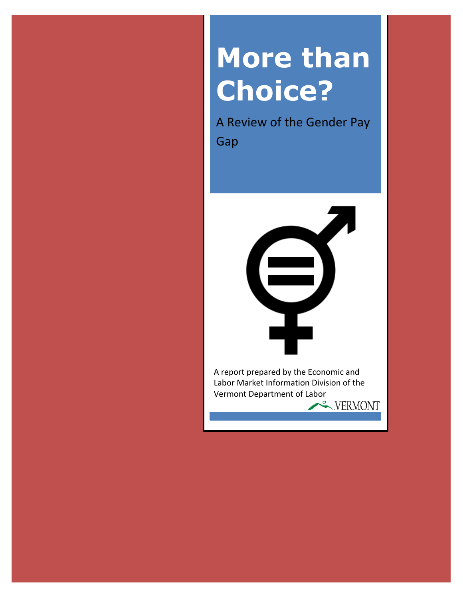# **More than Choice?**

A Review of the Gender Pay Gap



Labor Market Information Division of the Vermont Department of LaborVERMONT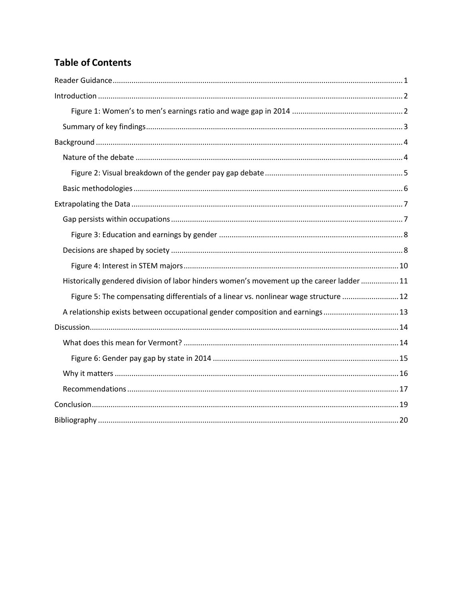## **Table of Contents**

<span id="page-1-0"></span>

| Historically gendered division of labor hinders women's movement up the career ladder  11 |
|-------------------------------------------------------------------------------------------|
| Figure 5: The compensating differentials of a linear vs. nonlinear wage structure  12     |
| A relationship exists between occupational gender composition and earnings13              |
|                                                                                           |
|                                                                                           |
|                                                                                           |
|                                                                                           |
|                                                                                           |
|                                                                                           |
|                                                                                           |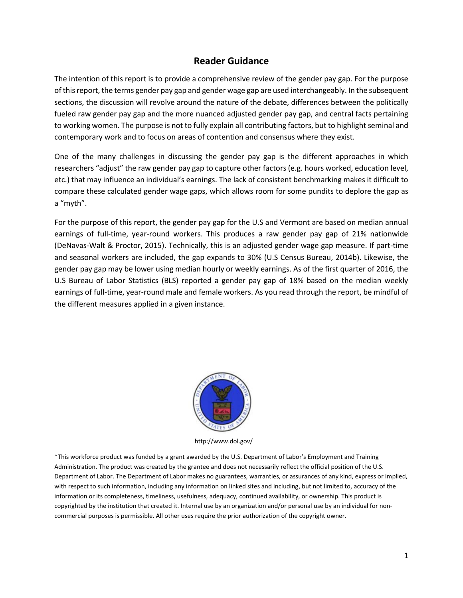#### **Reader Guidance**

The intention of this report is to provide a comprehensive review of the gender pay gap. For the purpose of this report, the terms gender pay gap and gender wage gap are used interchangeably. In the subsequent sections, the discussion will revolve around the nature of the debate, differences between the politically fueled raw gender pay gap and the more nuanced adjusted gender pay gap, and central facts pertaining to working women. The purpose is not to fully explain all contributing factors, but to highlight seminal and contemporary work and to focus on areas of contention and consensus where they exist.

One of the many challenges in discussing the gender pay gap is the different approaches in which researchers "adjust" the raw gender pay gap to capture other factors (e.g. hours worked, education level, etc.) that may influence an individual's earnings. The lack of consistent benchmarking makes it difficult to compare these calculated gender wage gaps, which allows room for some pundits to deplore the gap as a "myth".

For the purpose of this report, the gender pay gap for the U.S and Vermont are based on median annual earnings of full-time, year-round workers. This produces a raw gender pay gap of 21% nationwide (DeNavas-Walt & Proctor, 2015). Technically, this is an adjusted gender wage gap measure. If part-time and seasonal workers are included, the gap expands to 30% (U.S Census Bureau, 2014b). Likewise, the gender pay gap may be lower using median hourly or weekly earnings. As of the first quarter of 2016, the U.S Bureau of Labor Statistics (BLS) reported a gender pay gap of 18% based on the median weekly earnings of full-time, year-round male and female workers. As you read through the report, be mindful of the different measures applied in a given instance.



http://www.dol.gov/

\*This workforce product was funded by a grant awarded by the U.S. Department of Labor's Employment and Training Administration. The product was created by the grantee and does not necessarily reflect the official position of the U.S. Department of Labor. The Department of Labor makes no guarantees, warranties, or assurances of any kind, express or implied, with respect to such information, including any information on linked sites and including, but not limited to, accuracy of the information or its completeness, timeliness, usefulness, adequacy, continued availability, or ownership. This product is copyrighted by the institution that created it. Internal use by an organization and/or personal use by an individual for noncommercial purposes is permissible. All other uses require the prior authorization of the copyright owner.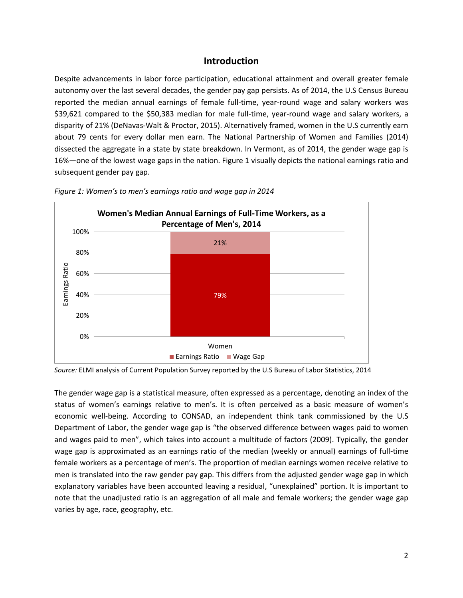#### **Introduction**

<span id="page-3-0"></span>Despite advancements in labor force participation, educational attainment and overall greater female autonomy over the last several decades, the gender pay gap persists. As of 2014, the U.S Census Bureau reported the median annual earnings of female full-time, year-round wage and salary workers was \$39,621 compared to the \$50,383 median for male full-time, year-round wage and salary workers, a disparity of 21% (DeNavas-Walt & Proctor, 2015). Alternatively framed, women in the U.S currently earn about 79 cents for every dollar men earn. The National Partnership of Women and Families (2014) dissected the aggregate in a state by state breakdown. In Vermont, as of 2014, the gender wage gap is 16%—one of the lowest wage gaps in the nation. Figure 1 visually depicts the national earnings ratio and subsequent gender pay gap.



<span id="page-3-1"></span>*Figure 1: Women's to men's earnings ratio and wage gap in 2014*

*Source:* ELMI analysis of Current Population Survey reported by the U.S Bureau of Labor Statistics, 2014

The gender wage gap is a statistical measure, often expressed as a percentage, denoting an index of the status of women's earnings relative to men's. It is often perceived as a basic measure of women's economic well-being. According to CONSAD, an independent think tank commissioned by the U.S Department of Labor, the gender wage gap is "the observed difference between wages paid to women and wages paid to men", which takes into account a multitude of factors (2009). Typically, the gender wage gap is approximated as an earnings ratio of the median (weekly or annual) earnings of full-time female workers as a percentage of men's. The proportion of median earnings women receive relative to men is translated into the raw gender pay gap. This differs from the adjusted gender wage gap in which explanatory variables have been accounted leaving a residual, "unexplained" portion. It is important to note that the unadjusted ratio is an aggregation of all male and female workers; the gender wage gap varies by age, race, geography, etc.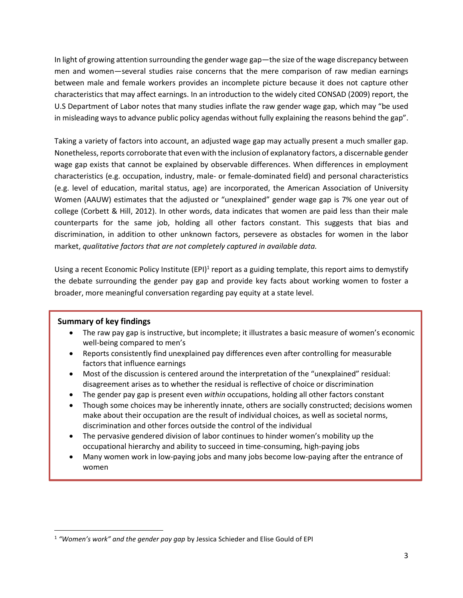In light of growing attention surrounding the gender wage gap—the size of the wage discrepancy between men and women—several studies raise concerns that the mere comparison of raw median earnings between male and female workers provides an incomplete picture because it does not capture other characteristics that may affect earnings. In an introduction to the widely cited CONSAD (2009) report, the U.S Department of Labor notes that many studies inflate the raw gender wage gap, which may "be used in misleading ways to advance public policy agendas without fully explaining the reasons behind the gap".

Taking a variety of factors into account, an adjusted wage gap may actually present a much smaller gap. Nonetheless, reports corroborate that even with the inclusion of explanatory factors, a discernable gender wage gap exists that cannot be explained by observable differences. When differences in employment characteristics (e.g. occupation, industry, male- or female-dominated field) and personal characteristics (e.g. level of education, marital status, age) are incorporated, the American Association of University Women (AAUW) estimates that the adjusted or "unexplained" gender wage gap is 7% one year out of college (Corbett & Hill, 2012). In other words, data indicates that women are paid less than their male counterparts for the same job, holding all other factors constant. This suggests that bias and discrimination, in addition to other unknown factors, persevere as obstacles for women in the labor market, *qualitative factors that are not completely captured in available data.* 

Using a recent Economic Policy Institute (EPI)<sup>1</sup> report as a guiding template, this report aims to demystify the debate surrounding the gender pay gap and provide key facts about working women to foster a broader, more meaningful conversation regarding pay equity at a state level.

#### **Summary of key findings**

 $\overline{\phantom{a}}$ 

- The raw pay gap is instructive, but incomplete; it illustrates a basic measure of women's economic well-being compared to men's
- Reports consistently find unexplained pay differences even after controlling for measurable factors that influence earnings
- Most of the discussion is centered around the interpretation of the "unexplained" residual: disagreement arises as to whether the residual is reflective of choice or discrimination
- The gender pay gap is present even *within* occupations, holding all other factors constant
- Though some choices may be inherently innate, others are socially constructed; decisions women make about their occupation are the result of individual choices, as well as societal norms, discrimination and other forces outside the control of the individual
- The pervasive gendered division of labor continues to hinder women's mobility up the occupational hierarchy and ability to succeed in time-consuming, high-paying jobs
- Many women work in low-paying jobs and many jobs become low-paying after the entrance of women

<sup>1</sup> *"Women's work" and the gender pay gap* by Jessica Schieder and Elise Gould of EPI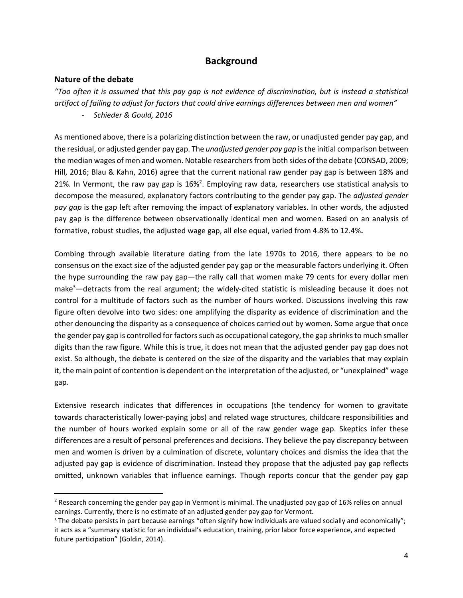#### **Background**

#### <span id="page-5-1"></span><span id="page-5-0"></span>**Nature of the debate**

 $\overline{\phantom{a}}$ 

*"Too often it is assumed that this pay gap is not evidence of discrimination, but is instead a statistical artifact of failing to adjust for factors that could drive earnings differences between men and women" - Schieder & Gould, 2016*

As mentioned above, there is a polarizing distinction between the raw, or unadjusted gender pay gap, and the residual, or adjusted gender pay gap. The *unadjusted gender pay gap* is the initial comparison between the median wages of men and women. Notable researchers from both sides of the debate (CONSAD, 2009; Hill, 2016; Blau & Kahn, 2016) agree that the current national raw gender pay gap is between 18% and 21%. In Vermont, the raw pay gap is  $16\%$ <sup>2</sup>. Employing raw data, researchers use statistical analysis to decompose the measured, explanatory factors contributing to the gender pay gap. The *adjusted gender pay gap* is the gap left after removing the impact of explanatory variables. In other words, the adjusted pay gap is the difference between observationally identical men and women. Based on an analysis of formative, robust studies, the adjusted wage gap, all else equal, varied from 4.8% to 12.4%**.**

Combing through available literature dating from the late 1970s to 2016, there appears to be no consensus on the exact size of the adjusted gender pay gap or the measurable factors underlying it. Often the hype surrounding the raw pay gap—the rally call that women make 79 cents for every dollar men make<sup>3</sup>—detracts from the real argument; the widely-cited statistic is misleading because it does not control for a multitude of factors such as the number of hours worked. Discussions involving this raw figure often devolve into two sides: one amplifying the disparity as evidence of discrimination and the other denouncing the disparity as a consequence of choices carried out by women. Some argue that once the gender pay gap is controlled for factors such as occupational category, the gap shrinks to much smaller digits than the raw figure. While this is true, it does not mean that the adjusted gender pay gap does not exist. So although, the debate is centered on the size of the disparity and the variables that may explain it, the main point of contention is dependent on the interpretation of the adjusted, or "unexplained" wage gap.

Extensive research indicates that differences in occupations (the tendency for women to gravitate towards characteristically lower-paying jobs) and related wage structures, childcare responsibilities and the number of hours worked explain some or all of the raw gender wage gap. Skeptics infer these differences are a result of personal preferences and decisions. They believe the pay discrepancy between men and women is driven by a culmination of discrete, voluntary choices and dismiss the idea that the adjusted pay gap is evidence of discrimination. Instead they propose that the adjusted pay gap reflects omitted, unknown variables that influence earnings. Though reports concur that the gender pay gap

<sup>&</sup>lt;sup>2</sup> Research concerning the gender pay gap in Vermont is minimal. The unadjusted pay gap of 16% relies on annual earnings. Currently, there is no estimate of an adjusted gender pay gap for Vermont.

<sup>&</sup>lt;sup>3</sup> The debate persists in part because earnings "often signify how individuals are valued socially and economically"; it acts as a "summary statistic for an individual's education, training, prior labor force experience, and expected future participation" (Goldin, 2014).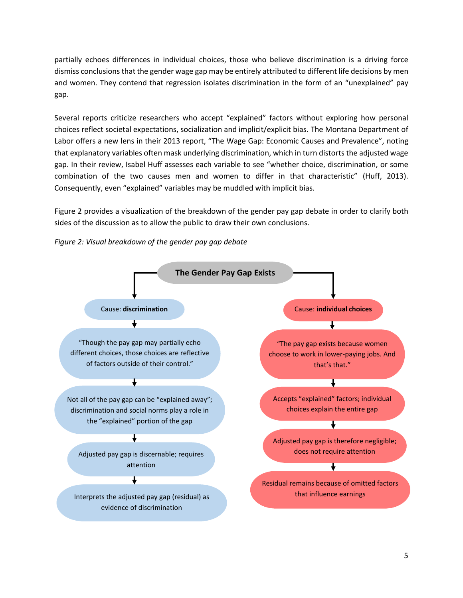partially echoes differences in individual choices, those who believe discrimination is a driving force dismiss conclusions that the gender wage gap may be entirely attributed to different life decisions by men and women. They contend that regression isolates discrimination in the form of an "unexplained" pay gap.

Several reports criticize researchers who accept "explained" factors without exploring how personal choices reflect societal expectations, socialization and implicit/explicit bias. The Montana Department of Labor offers a new lens in their 2013 report, "The Wage Gap: Economic Causes and Prevalence", noting that explanatory variables often mask underlying discrimination, which in turn distorts the adjusted wage gap. In their review, Isabel Huff assesses each variable to see "whether choice, discrimination, or some combination of the two causes men and women to differ in that characteristic" (Huff, 2013). Consequently, even "explained" variables may be muddled with implicit bias.

Figure 2 provides a visualization of the breakdown of the gender pay gap debate in order to clarify both sides of the discussion as to allow the public to draw their own conclusions.

<span id="page-6-0"></span>

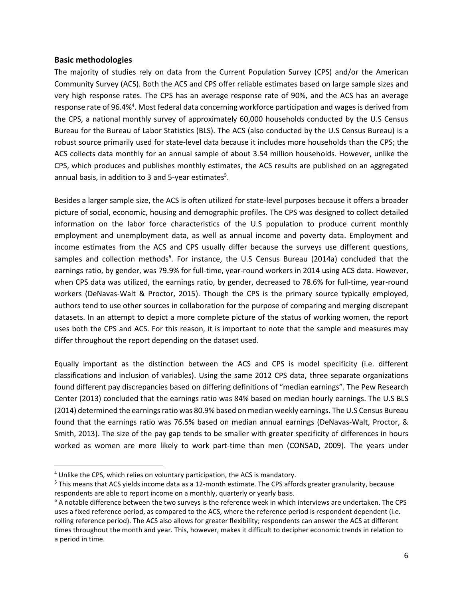#### <span id="page-7-0"></span>**Basic methodologies**

 $\overline{a}$ 

The majority of studies rely on data from the Current Population Survey (CPS) and/or the American Community Survey (ACS). Both the ACS and CPS offer reliable estimates based on large sample sizes and very high response rates. The CPS has an average response rate of 90%, and the ACS has an average response rate of 96.4%<sup>4</sup>. Most federal data concerning workforce participation and wages is derived from the CPS, a national monthly survey of approximately 60,000 households conducted by the U.S Census Bureau for the Bureau of Labor Statistics (BLS). The ACS (also conducted by the U.S Census Bureau) is a robust source primarily used for state-level data because it includes more households than the CPS; the ACS collects data monthly for an annual sample of about 3.54 million households. However, unlike the CPS, which produces and publishes monthly estimates, the ACS results are published on an aggregated annual basis, in addition to 3 and 5-year estimates<sup>5</sup>.

Besides a larger sample size, the ACS is often utilized for state-level purposes because it offers a broader picture of social, economic, housing and demographic profiles. The CPS was designed to collect detailed information on the labor force characteristics of the U.S population to produce current monthly employment and unemployment data, as well as annual income and poverty data. Employment and income estimates from the ACS and CPS usually differ because the surveys use different questions, samples and collection methods<sup>6</sup>. For instance, the U.S Census Bureau (2014a) concluded that the earnings ratio, by gender, was 79.9% for full-time, year-round workers in 2014 using ACS data. However, when CPS data was utilized, the earnings ratio, by gender, decreased to 78.6% for full-time, year-round workers (DeNavas-Walt & Proctor, 2015). Though the CPS is the primary source typically employed, authors tend to use other sources in collaboration for the purpose of comparing and merging discrepant datasets. In an attempt to depict a more complete picture of the status of working women, the report uses both the CPS and ACS. For this reason, it is important to note that the sample and measures may differ throughout the report depending on the dataset used.

Equally important as the distinction between the ACS and CPS is model specificity (i.e. different classifications and inclusion of variables). Using the same 2012 CPS data, three separate organizations found different pay discrepancies based on differing definitions of "median earnings". The Pew Research Center (2013) concluded that the earnings ratio was 84% based on median hourly earnings. The U.S BLS (2014) determined the earnings ratio was 80.9% based on median weekly earnings. The U.S Census Bureau found that the earnings ratio was 76.5% based on median annual earnings (DeNavas-Walt, Proctor, & Smith, 2013). The size of the pay gap tends to be smaller with greater specificity of differences in hours worked as women are more likely to work part-time than men (CONSAD, 2009). The years under

<sup>&</sup>lt;sup>4</sup> Unlike the CPS, which relies on voluntary participation, the ACS is mandatory.

<sup>5</sup> This means that ACS yields income data as a 12-month estimate. The CPS affords greater granularity, because respondents are able to report income on a monthly, quarterly or yearly basis.

 $6$  A notable difference between the two surveys is the reference week in which interviews are undertaken. The CPS uses a fixed reference period, as compared to the ACS, where the reference period is respondent dependent (i.e. rolling reference period). The ACS also allows for greater flexibility; respondents can answer the ACS at different times throughout the month and year. This, however, makes it difficult to decipher economic trends in relation to a period in time.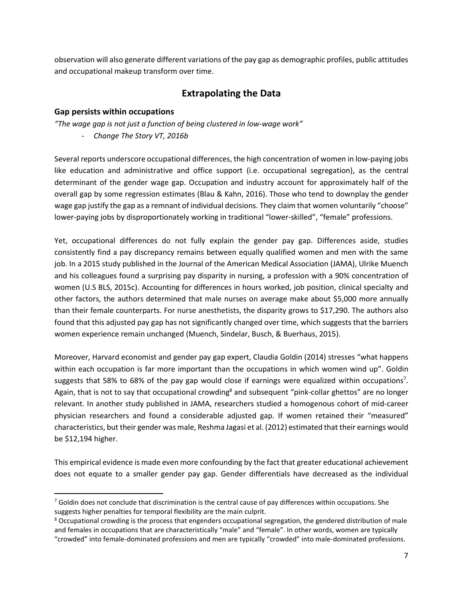observation will also generate different variations of the pay gap as demographic profiles, public attitudes and occupational makeup transform over time.

### **Extrapolating the Data**

#### <span id="page-8-1"></span><span id="page-8-0"></span>**Gap persists within occupations**

 $\overline{\phantom{a}}$ 

*"The wage gap is not just a function of being clustered in low-wage work" - Change The Story VT, 2016b*

Several reports underscore occupational differences, the high concentration of women in low-paying jobs like education and administrative and office support (i.e. occupational segregation), as the central determinant of the gender wage gap. Occupation and industry account for approximately half of the overall gap by some regression estimates (Blau & Kahn, 2016). Those who tend to downplay the gender wage gap justify the gap as a remnant of individual decisions. They claim that women voluntarily "choose" lower-paying jobs by disproportionately working in traditional "lower-skilled", "female" professions.

Yet, occupational differences do not fully explain the gender pay gap. Differences aside, studies consistently find a pay discrepancy remains between equally qualified women and men with the same job. In a 2015 study published in the Journal of the American Medical Association (JAMA), Ulrike Muench and his colleagues found a surprising pay disparity in nursing, a profession with a 90% concentration of women (U.S BLS, 2015c). Accounting for differences in hours worked, job position, clinical specialty and other factors, the authors determined that male nurses on average make about \$5,000 more annually than their female counterparts. For nurse anesthetists, the disparity grows to \$17,290. The authors also found that this adjusted pay gap has not significantly changed over time, which suggests that the barriers women experience remain unchanged (Muench, Sindelar, Busch, & Buerhaus, 2015).

Moreover, Harvard economist and gender pay gap expert, Claudia Goldin (2014) stresses "what happens within each occupation is far more important than the occupations in which women wind up". Goldin suggests that 58% to 68% of the pay gap would close if earnings were equalized within occupations<sup>7</sup>. Again, that is not to say that occupational crowding<sup>8</sup> and subsequent "pink-collar ghettos" are no longer relevant. In another study published in JAMA, researchers studied a homogenous cohort of mid-career physician researchers and found a considerable adjusted gap. If women retained their "measured" characteristics, but their gender was male, Reshma Jagasi et al. (2012) estimated that their earnings would be \$12,194 higher.

This empirical evidence is made even more confounding by the fact that greater educational achievement does not equate to a smaller gender pay gap. Gender differentials have decreased as the individual

 $7$  Goldin does not conclude that discrimination is the central cause of pay differences within occupations. She suggests higher penalties for temporal flexibility are the main culprit.

<sup>&</sup>lt;sup>8</sup> Occupational crowding is the process that engenders occupational segregation, the gendered distribution of male and females in occupations that are characteristically "male" and "female". In other words, women are typically "crowded" into female-dominated professions and men are typically "crowded" into male-dominated professions.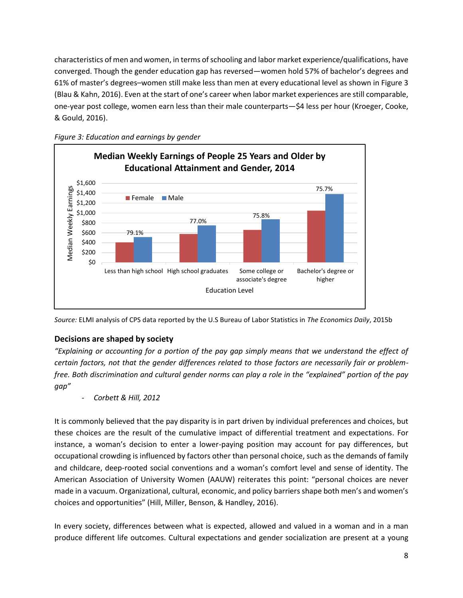characteristics of men and women, in terms of schooling and labor market experience/qualifications, have converged. Though the gender education gap has reversed—women hold 57% of bachelor's degrees and 61% of master's degrees–women still make less than men at every educational level as shown in Figure 3 (Blau & Kahn, 2016). Even at the start of one's career when labor market experiences are still comparable, one-year post college, women earn less than their male counterparts—\$4 less per hour (Kroeger, Cooke, & Gould, 2016).



<span id="page-9-0"></span>

*Source:* ELMI analysis of CPS data reported by the U.S Bureau of Labor Statistics in *The Economics Daily*, 2015b

#### <span id="page-9-1"></span>**Decisions are shaped by society**

*"Explaining or accounting for a portion of the pay gap simply means that we understand the effect of certain factors, not that the gender differences related to those factors are necessarily fair or problemfree. Both discrimination and cultural gender norms can play a role in the "explained" portion of the pay gap"* 

*- Corbett & Hill, 2012*

It is commonly believed that the pay disparity is in part driven by individual preferences and choices, but these choices are the result of the cumulative impact of differential treatment and expectations. For instance, a woman's decision to enter a lower-paying position may account for pay differences, but occupational crowding is influenced by factors other than personal choice, such as the demands of family and childcare, deep-rooted social conventions and a woman's comfort level and sense of identity. The American Association of University Women (AAUW) reiterates this point: "personal choices are never made in a vacuum. Organizational, cultural, economic, and policy barriers shape both men's and women's choices and opportunities" (Hill, Miller, Benson, & Handley, 2016).

In every society, differences between what is expected, allowed and valued in a woman and in a man produce different life outcomes. Cultural expectations and gender socialization are present at a young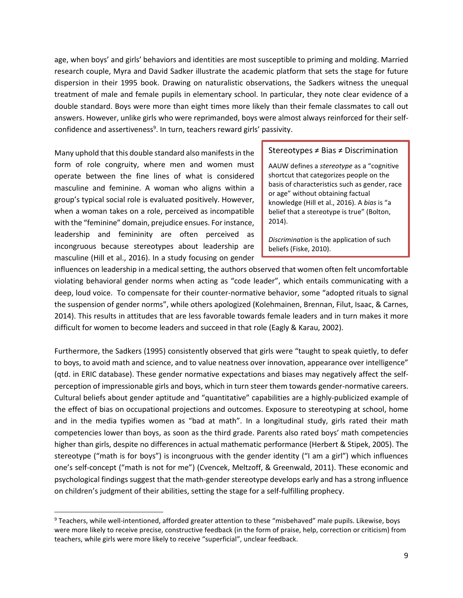age, when boys' and girls' behaviors and identities are most susceptible to priming and molding. Married research couple, Myra and David Sadker illustrate the academic platform that sets the stage for future dispersion in their 1995 book. Drawing on naturalistic observations, the Sadkers witness the unequal treatment of male and female pupils in elementary school. In particular, they note clear evidence of a double standard. Boys were more than eight times more likely than their female classmates to call out answers. However, unlike girls who were reprimanded, boys were almost always reinforced for their selfconfidence and assertiveness<sup>9</sup>. In turn, teachers reward girls' passivity.

Many uphold that this double standard also manifests in the form of role congruity, where men and women must operate between the fine lines of what is considered masculine and feminine. A woman who aligns within a group's typical social role is evaluated positively. However, when a woman takes on a role, perceived as incompatible with the "feminine" domain, prejudice ensues. For instance, leadership and femininity are often perceived as incongruous because stereotypes about leadership are masculine (Hill et al., 2016). In a study focusing on gender

 $\overline{a}$ 

#### Stereotypes ≠ Bias ≠ Discrimination

AAUW defines a *stereotype* as a "cognitive shortcut that categorizes people on the basis of characteristics such as gender, race or age" without obtaining factual knowledge (Hill et al., 2016). A *bias* is "a belief that a stereotype is true" (Bolton, 2014).

*Discrimination* is the application of such beliefs (Fiske, 2010).

influences on leadership in a medical setting, the authors observed that women often felt uncomfortable violating behavioral gender norms when acting as "code leader", which entails communicating with a deep, loud voice. To compensate for their counter-normative behavior, some "adopted rituals to signal the suspension of gender norms", while others apologized (Kolehmainen, Brennan, Filut, Isaac, & Carnes, 2014). This results in attitudes that are less favorable towards female leaders and in turn makes it more difficult for women to become leaders and succeed in that role (Eagly & Karau, 2002).

Furthermore, the Sadkers (1995) consistently observed that girls were "taught to speak quietly, to defer to boys, to avoid math and science, and to value neatness over innovation, appearance over intelligence" (qtd. in ERIC database). These gender normative expectations and biases may negatively affect the selfperception of impressionable girls and boys, which in turn steer them towards gender-normative careers. Cultural beliefs about gender aptitude and "quantitative" capabilities are a highly-publicized example of the effect of bias on occupational projections and outcomes. Exposure to stereotyping at school, home and in the media typifies women as "bad at math". In a longitudinal study, girls rated their math competencies lower than boys, as soon as the third grade. Parents also rated boys' math competencies higher than girls, despite no differences in actual mathematic performance (Herbert & Stipek, 2005). The stereotype ("math is for boys") is incongruous with the gender identity ("I am a girl") which influences one's self-concept ("math is not for me") (Cvencek, Meltzoff, & Greenwald, 2011). These economic and psychological findings suggest that the math-gender stereotype develops early and has a strong influence on children's judgment of their abilities, setting the stage for a self-fulfilling prophecy.

<sup>9</sup> Teachers, while well-intentioned, afforded greater attention to these "misbehaved" male pupils. Likewise, boys were more likely to receive precise, constructive feedback (in the form of praise, help, correction or criticism) from teachers, while girls were more likely to receive "superficial", unclear feedback.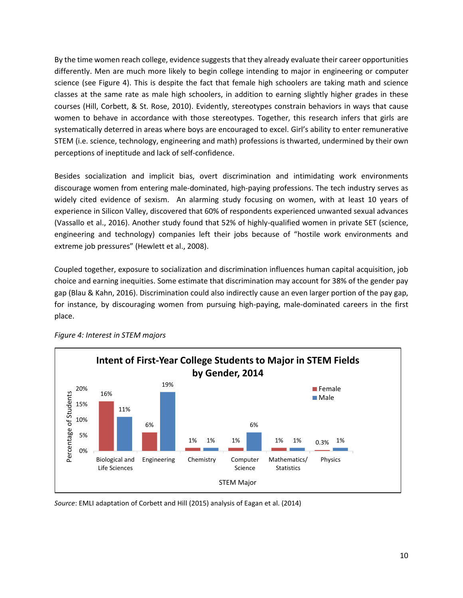By the time women reach college, evidence suggeststhat they already evaluate their career opportunities differently. Men are much more likely to begin college intending to major in engineering or computer science (see Figure 4). This is despite the fact that female high schoolers are taking math and science classes at the same rate as male high schoolers, in addition to earning slightly higher grades in these courses (Hill, Corbett, & St. Rose, 2010). Evidently, stereotypes constrain behaviors in ways that cause women to behave in accordance with those stereotypes. Together, this research infers that girls are systematically deterred in areas where boys are encouraged to excel. Girl's ability to enter remunerative STEM (i.e. science, technology, engineering and math) professions is thwarted, undermined by their own perceptions of ineptitude and lack of self-confidence.

Besides socialization and implicit bias, overt discrimination and intimidating work environments discourage women from entering male-dominated, high-paying professions. The tech industry serves as widely cited evidence of sexism. An alarming study focusing on women, with at least 10 years of experience in Silicon Valley, discovered that 60% of respondents experienced unwanted sexual advances (Vassallo et al., 2016). Another study found that 52% of highly-qualified women in private SET (science, engineering and technology) companies left their jobs because of "hostile work environments and extreme job pressures" (Hewlett et al., 2008).

Coupled together, exposure to socialization and discrimination influences human capital acquisition, job choice and earning inequities. Some estimate that discrimination may account for 38% of the gender pay gap (Blau & Kahn, 2016). Discrimination could also indirectly cause an even larger portion of the pay gap, for instance, by discouraging women from pursuing high-paying, male-dominated careers in the first place.



<span id="page-11-0"></span>*Figure 4: Interest in STEM majors*

*Source*: EMLI adaptation of Corbett and Hill (2015) analysis of Eagan et al. (2014)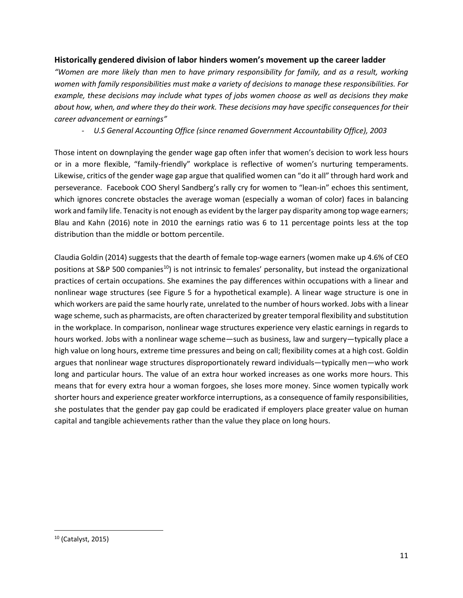#### <span id="page-12-0"></span>**Historically gendered division of labor hinders women's movement up the career ladder**

*"Women are more likely than men to have primary responsibility for family, and as a result, working women with family responsibilities must make a variety of decisions to manage these responsibilities. For example, these decisions may include what types of jobs women choose as well as decisions they make about how, when, and where they do their work. These decisions may have specific consequences for their career advancement or earnings"* 

*- U.S General Accounting Office (since renamed Government Accountability Office), 2003*

Those intent on downplaying the gender wage gap often infer that women's decision to work less hours or in a more flexible, "family-friendly" workplace is reflective of women's nurturing temperaments. Likewise, critics of the gender wage gap argue that qualified women can "do it all" through hard work and perseverance. Facebook COO Sheryl Sandberg's rally cry for women to "lean-in" echoes this sentiment, which ignores concrete obstacles the average woman (especially a woman of color) faces in balancing work and family life. Tenacity is not enough as evident by the larger pay disparity among top wage earners; Blau and Kahn (2016) note in 2010 the earnings ratio was 6 to 11 percentage points less at the top distribution than the middle or bottom percentile.

Claudia Goldin (2014) suggests that the dearth of female top-wage earners (women make up 4.6% of CEO positions at S&P 500 companies<sup>10</sup>) is not intrinsic to females' personality, but instead the organizational practices of certain occupations. She examines the pay differences within occupations with a linear and nonlinear wage structures (see Figure 5 for a hypothetical example). A linear wage structure is one in which workers are paid the same hourly rate, unrelated to the number of hours worked. Jobs with a linear wage scheme, such as pharmacists, are often characterized by greater temporal flexibility and substitution in the workplace. In comparison, nonlinear wage structures experience very elastic earnings in regards to hours worked. Jobs with a nonlinear wage scheme—such as business, law and surgery—typically place a high value on long hours, extreme time pressures and being on call; flexibility comes at a high cost. Goldin argues that nonlinear wage structures disproportionately reward individuals—typically men—who work long and particular hours. The value of an extra hour worked increases as one works more hours. This means that for every extra hour a woman forgoes, she loses more money. Since women typically work shorter hours and experience greater workforce interruptions, as a consequence of family responsibilities, she postulates that the gender pay gap could be eradicated if employers place greater value on human capital and tangible achievements rather than the value they place on long hours.

 $\overline{\phantom{a}}$ 

<sup>10</sup> (Catalyst, 2015)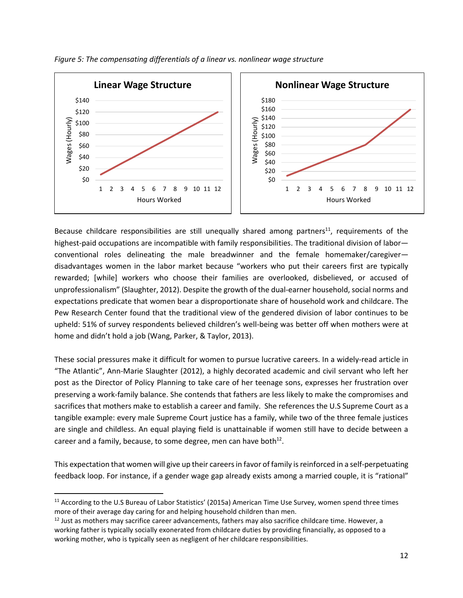<span id="page-13-0"></span>

Because childcare responsibilities are still unequally shared among partners<sup>11</sup>, requirements of the highest-paid occupations are incompatible with family responsibilities. The traditional division of labor conventional roles delineating the male breadwinner and the female homemaker/caregiver disadvantages women in the labor market because "workers who put their careers first are typically rewarded; [while] workers who choose their families are overlooked, disbelieved, or accused of unprofessionalism" (Slaughter, 2012). Despite the growth of the dual-earner household, social norms and expectations predicate that women bear a disproportionate share of household work and childcare. The Pew Research Center found that the traditional view of the gendered division of labor continues to be upheld: 51% of survey respondents believed children's well-being was better off when mothers were at home and didn't hold a job (Wang, Parker, & Taylor, 2013).

These social pressures make it difficult for women to pursue lucrative careers. In a widely-read article in "The Atlantic", Ann-Marie Slaughter (2012), a highly decorated academic and civil servant who left her post as the Director of Policy Planning to take care of her teenage sons, expresses her frustration over preserving a work-family balance. She contends that fathers are less likely to make the compromises and sacrifices that mothers make to establish a career and family. She references the U.S Supreme Court as a tangible example: every male Supreme Court justice has a family, while two of the three female justices are single and childless. An equal playing field is unattainable if women still have to decide between a career and a family, because, to some degree, men can have both $^{12}$ .

This expectation that women will give up their careers in favor of family is reinforced in a self-perpetuating feedback loop. For instance, if a gender wage gap already exists among a married couple, it is "rational"

 $\overline{\phantom{a}}$ 

<sup>&</sup>lt;sup>11</sup> According to the U.S Bureau of Labor Statistics' (2015a) American Time Use Survey, women spend three times more of their average day caring for and helping household children than men.

<sup>&</sup>lt;sup>12</sup> Just as mothers may sacrifice career advancements, fathers may also sacrifice childcare time. However, a working father is typically socially exonerated from childcare duties by providing financially, as opposed to a working mother, who is typically seen as negligent of her childcare responsibilities.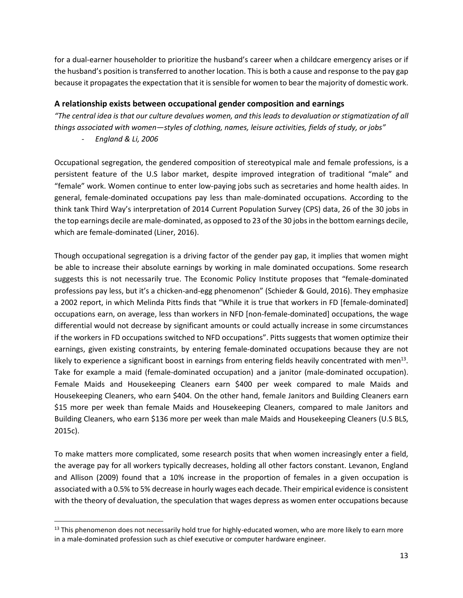for a dual-earner householder to prioritize the husband's career when a childcare emergency arises or if the husband's position is transferred to another location. This is both a cause and response to the pay gap because it propagates the expectation that it is sensible for women to bear the majority of domestic work.

#### <span id="page-14-0"></span>**A relationship exists between occupational gender composition and earnings**

*"The central idea is that our culture devalues women, and this leads to devaluation or stigmatization of all things associated with women—styles of clothing, names, leisure activities, fields of study, or jobs"*

- *England & Li, 2006*

 $\overline{\phantom{a}}$ 

Occupational segregation, the gendered composition of stereotypical male and female professions, is a persistent feature of the U.S labor market, despite improved integration of traditional "male" and "female" work. Women continue to enter low-paying jobs such as secretaries and home health aides. In general, female-dominated occupations pay less than male-dominated occupations. According to the think tank Third Way's interpretation of 2014 Current Population Survey (CPS) data, 26 of the 30 jobs in the top earnings decile are male-dominated, as opposed to 23 of the 30 jobs in the bottom earnings decile, which are female-dominated (Liner, 2016).

Though occupational segregation is a driving factor of the gender pay gap, it implies that women might be able to increase their absolute earnings by working in male dominated occupations. Some research suggests this is not necessarily true. The Economic Policy Institute proposes that "female-dominated professions pay less, but it's a chicken-and-egg phenomenon" (Schieder & Gould, 2016). They emphasize a 2002 report, in which Melinda Pitts finds that "While it is true that workers in FD [female-dominated] occupations earn, on average, less than workers in NFD [non-female-dominated] occupations, the wage differential would not decrease by significant amounts or could actually increase in some circumstances if the workers in FD occupations switched to NFD occupations". Pitts suggests that women optimize their earnings, given existing constraints, by entering female-dominated occupations because they are not likely to experience a significant boost in earnings from entering fields heavily concentrated with men<sup>13</sup>. Take for example a maid (female-dominated occupation) and a janitor (male-dominated occupation). Female Maids and Housekeeping Cleaners earn \$400 per week compared to male Maids and Housekeeping Cleaners, who earn \$404. On the other hand, female Janitors and Building Cleaners earn \$15 more per week than female Maids and Housekeeping Cleaners, compared to male Janitors and Building Cleaners, who earn \$136 more per week than male Maids and Housekeeping Cleaners (U.S BLS, 2015c).

To make matters more complicated, some research posits that when women increasingly enter a field, the average pay for all workers typically decreases, holding all other factors constant. Levanon, England and Allison (2009) found that a 10% increase in the proportion of females in a given occupation is associated with a 0.5% to 5% decrease in hourly wages each decade. Their empirical evidence is consistent with the theory of devaluation, the speculation that wages depress as women enter occupations because

 $13$  This phenomenon does not necessarily hold true for highly-educated women, who are more likely to earn more in a male-dominated profession such as chief executive or computer hardware engineer.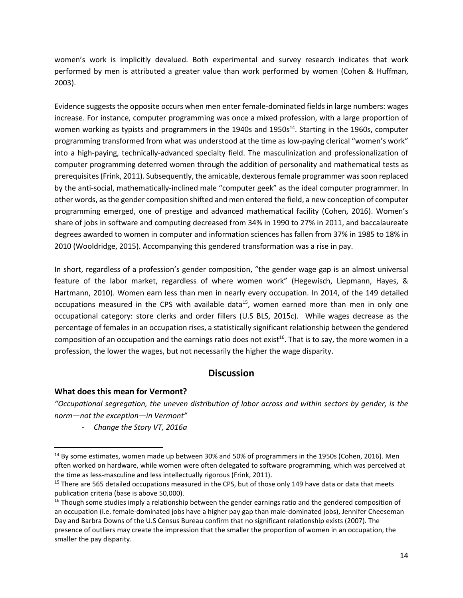women's work is implicitly devalued. Both experimental and survey research indicates that work performed by men is attributed a greater value than work performed by women (Cohen & Huffman, 2003).

Evidence suggests the opposite occurs when men enter female-dominated fields in large numbers: wages increase. For instance, computer programming was once a mixed profession, with a large proportion of women working as typists and programmers in the 1940s and 1950s<sup>14</sup>. Starting in the 1960s, computer programming transformed from what was understood at the time as low-paying clerical "women's work" into a high-paying, technically-advanced specialty field. The masculinization and professionalization of computer programming deterred women through the addition of personality and mathematical tests as prerequisites(Frink, 2011). Subsequently, the amicable, dexterous female programmer wassoon replaced by the anti-social, mathematically-inclined male "computer geek" as the ideal computer programmer. In other words, as the gender composition shifted and men entered the field, a new conception of computer programming emerged, one of prestige and advanced mathematical facility (Cohen, 2016). Women's share of jobs in software and computing decreased from 34% in 1990 to 27% in 2011, and baccalaureate degrees awarded to women in computer and information sciences has fallen from 37% in 1985 to 18% in 2010 (Wooldridge, 2015). Accompanying this gendered transformation was a rise in pay.

In short, regardless of a profession's gender composition, "the gender wage gap is an almost universal feature of the labor market, regardless of where women work" (Hegewisch, Liepmann, Hayes, & Hartmann, 2010). Women earn less than men in nearly every occupation. In 2014, of the 149 detailed occupations measured in the CPS with available data<sup>15</sup>, women earned more than men in only one occupational category: store clerks and order fillers (U.S BLS, 2015c). While wages decrease as the percentage of females in an occupation rises, a statistically significant relationship between the gendered composition of an occupation and the earnings ratio does not exist<sup>16</sup>. That is to say, the more women in a profession, the lower the wages, but not necessarily the higher the wage disparity.

#### **Discussion**

#### <span id="page-15-1"></span><span id="page-15-0"></span>**What does this mean for Vermont?**

 $\overline{a}$ 

*"Occupational segregation, the uneven distribution of labor across and within sectors by gender, is the norm—not the exception—in Vermont"* 

*- Change the Story VT, 2016a*

<sup>&</sup>lt;sup>14</sup> By some estimates, women made up between 30% and 50% of programmers in the 1950s (Cohen, 2016). Men often worked on hardware, while women were often delegated to software programming, which was perceived at the time as less-masculine and less intellectually rigorous (Frink, 2011).

<sup>&</sup>lt;sup>15</sup> There are 565 detailed occupations measured in the CPS, but of those only 149 have data or data that meets publication criteria (base is above 50,000).

<sup>&</sup>lt;sup>16</sup> Though some studies imply a relationship between the gender earnings ratio and the gendered composition of an occupation (i.e. female-dominated jobs have a higher pay gap than male-dominated jobs), Jennifer Cheeseman Day and Barbra Downs of the U.S Census Bureau confirm that no significant relationship exists (2007). The presence of outliers may create the impression that the smaller the proportion of women in an occupation, the smaller the pay disparity.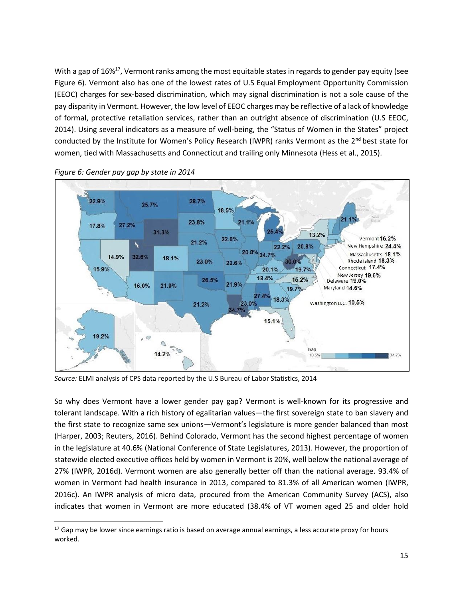With a gap of 16%<sup>17</sup>, Vermont ranks among the most equitable states in regards to gender pay equity (see Figure 6). Vermont also has one of the lowest rates of U.S Equal Employment Opportunity Commission (EEOC) charges for sex-based discrimination, which may signal discrimination is not a sole cause of the pay disparity in Vermont. However, the low level of EEOC charges may be reflective of a lack of knowledge of formal, protective retaliation services, rather than an outright absence of discrimination (U.S EEOC, 2014). Using several indicators as a measure of well-being, the "Status of Women in the States" project conducted by the Institute for Women's Policy Research (IWPR) ranks Vermont as the 2<sup>nd</sup> best state for women, tied with Massachusetts and Connecticut and trailing only Minnesota (Hess et al., 2015).



<span id="page-16-0"></span>*Figure 6: Gender pay gap by state in 2014*

 $\overline{\phantom{a}}$ 

*Source:* ELMI analysis of CPS data reported by the U.S Bureau of Labor Statistics, 2014

So why does Vermont have a lower gender pay gap? Vermont is well-known for its progressive and tolerant landscape. With a rich history of egalitarian values—the first sovereign state to ban slavery and the first state to recognize same sex unions—Vermont's legislature is more gender balanced than most (Harper, 2003; Reuters, 2016). Behind Colorado, Vermont has the second highest percentage of women in the legislature at 40.6% (National Conference of State Legislatures, 2013). However, the proportion of statewide elected executive offices held by women in Vermont is 20%, well below the national average of 27% (IWPR, 2016d). Vermont women are also generally better off than the national average. 93.4% of women in Vermont had health insurance in 2013, compared to 81.3% of all American women (IWPR, 2016c). An IWPR analysis of micro data, procured from the American Community Survey (ACS), also indicates that women in Vermont are more educated (38.4% of VT women aged 25 and older hold

 $17$  Gap may be lower since earnings ratio is based on average annual earnings, a less accurate proxy for hours worked.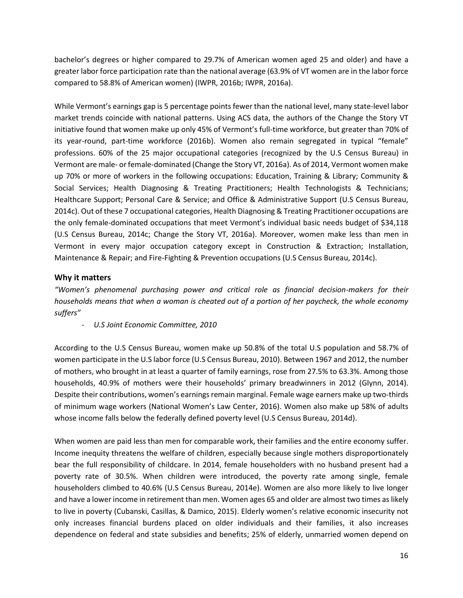bachelor's degrees or higher compared to 29.7% of American women aged 25 and older) and have a greater labor force participation rate than the national average (63.9% of VT women are in the labor force compared to 58.8% of American women) (IWPR, 2016b; IWPR, 2016a).

While Vermont's earnings gap is 5 percentage points fewer than the national level, many state-level labor market trends coincide with national patterns. Using ACS data, the authors of the Change the Story VT initiative found that women make up only 45% of Vermont's full-time workforce, but greater than 70% of its year-round, part-time workforce (2016b). Women also remain segregated in typical "female" professions. 60% of the 25 major occupational categories (recognized by the U.S Census Bureau) in Vermont are male- or female-dominated (Change the Story VT, 2016a). As of 2014, Vermont women make up 70% or more of workers in the following occupations: Education, Training & Library; Community & Social Services; Health Diagnosing & Treating Practitioners; Health Technologists & Technicians; Healthcare Support; Personal Care & Service; and Office & Administrative Support (U.S Census Bureau, 2014c). Out of these 7 occupational categories, Health Diagnosing & Treating Practitioner occupations are the only female-dominated occupations that meet Vermont's individual basic needs budget of \$34,118 (U.S Census Bureau, 2014c; Change the Story VT, 2016a). Moreover, women make less than men in Vermont in every major occupation category except in Construction & Extraction; Installation, Maintenance & Repair; and Fire-Fighting & Prevention occupations (U.S Census Bureau, 2014c).

#### <span id="page-17-0"></span>**Why it matters**

*"Women's phenomenal purchasing power and critical role as financial decision-makers for their households means that when a woman is cheated out of a portion of her paycheck, the whole economy suffers"* 

*- U.S Joint Economic Committee, 2010*

According to the U.S Census Bureau, women make up 50.8% of the total U.S population and 58.7% of women participate in the U.S labor force (U.S Census Bureau, 2010). Between 1967 and 2012, the number of mothers, who brought in at least a quarter of family earnings, rose from 27.5% to 63.3%. Among those households, 40.9% of mothers were their households' primary breadwinners in 2012 (Glynn, 2014). Despite their contributions, women's earnings remain marginal. Female wage earners make up two-thirds of minimum wage workers (National Women's Law Center, 2016). Women also make up 58% of adults whose income falls below the federally defined poverty level (U.S Census Bureau, 2014d).

When women are paid less than men for comparable work, their families and the entire economy suffer. Income inequity threatens the welfare of children, especially because single mothers disproportionately bear the full responsibility of childcare. In 2014, female householders with no husband present had a poverty rate of 30.5%. When children were introduced, the poverty rate among single, female householders climbed to 40.6% (U.S Census Bureau, 2014e). Women are also more likely to live longer and have a lower income in retirement than men. Women ages 65 and older are almost two times as likely to live in poverty (Cubanski, Casillas, & Damico, 2015). Elderly women's relative economic insecurity not only increases financial burdens placed on older individuals and their families, it also increases dependence on federal and state subsidies and benefits; 25% of elderly, unmarried women depend on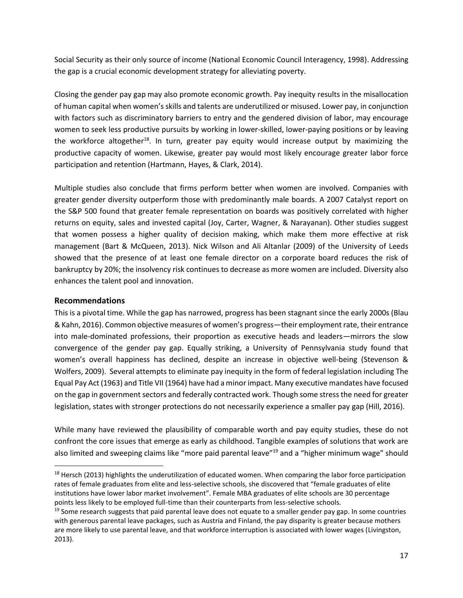Social Security as their only source of income (National Economic Council Interagency, 1998). Addressing the gap is a crucial economic development strategy for alleviating poverty.

Closing the gender pay gap may also promote economic growth. Pay inequity results in the misallocation of human capital when women's skills and talents are underutilized or misused. Lower pay, in conjunction with factors such as discriminatory barriers to entry and the gendered division of labor, may encourage women to seek less productive pursuits by working in lower-skilled, lower-paying positions or by leaving the workforce altogether<sup>18</sup>. In turn, greater pay equity would increase output by maximizing the productive capacity of women. Likewise, greater pay would most likely encourage greater labor force participation and retention (Hartmann, Hayes, & Clark, 2014).

Multiple studies also conclude that firms perform better when women are involved. Companies with greater gender diversity outperform those with predominantly male boards. A 2007 Catalyst report on the S&P 500 found that greater female representation on boards was positively correlated with higher returns on equity, sales and invested capital (Joy, Carter, Wagner, & Narayanan). Other studies suggest that women possess a higher quality of decision making, which make them more effective at risk management (Bart & McQueen, 2013). Nick Wilson and Ali Altanlar (2009) of the University of Leeds showed that the presence of at least one female director on a corporate board reduces the risk of bankruptcy by 20%; the insolvency risk continues to decrease as more women are included. Diversity also enhances the talent pool and innovation.

#### <span id="page-18-0"></span>**Recommendations**

 $\overline{a}$ 

This is a pivotal time. While the gap has narrowed, progress has been stagnant since the early 2000s (Blau & Kahn, 2016). Common objective measures of women's progress—their employment rate, their entrance into male-dominated professions, their proportion as executive heads and leaders—mirrors the slow convergence of the gender pay gap. Equally striking, a University of Pennsylvania study found that women's overall happiness has declined, despite an increase in objective well-being (Stevenson & Wolfers, 2009). Several attempts to eliminate pay inequity in the form of federal legislation including The Equal Pay Act (1963) and Title VII (1964) have had a minor impact. Many executive mandates have focused on the gap in government sectors and federally contracted work. Though some stress the need for greater legislation, states with stronger protections do not necessarily experience a smaller pay gap (Hill, 2016).

While many have reviewed the plausibility of comparable worth and pay equity studies, these do not confront the core issues that emerge as early as childhood. Tangible examples of solutions that work are also limited and sweeping claims like "more paid parental leave"<sup>19</sup> and a "higher minimum wage" should

 $18$  Hersch (2013) highlights the underutilization of educated women. When comparing the labor force participation rates of female graduates from elite and less-selective schools, she discovered that "female graduates of elite institutions have lower labor market involvement". Female MBA graduates of elite schools are 30 percentage points less likely to be employed full-time than their counterparts from less-selective schools.

 $19$  Some research suggests that paid parental leave does not equate to a smaller gender pay gap. In some countries with generous parental leave packages, such as Austria and Finland, the pay disparity is greater because mothers are more likely to use parental leave, and that workforce interruption is associated with lower wages (Livingston, 2013).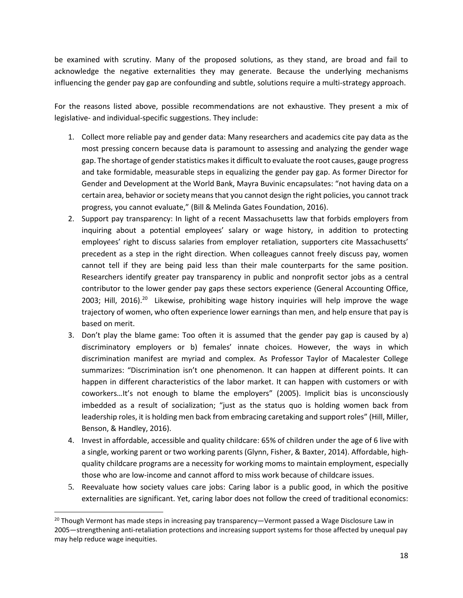be examined with scrutiny. Many of the proposed solutions, as they stand, are broad and fail to acknowledge the negative externalities they may generate. Because the underlying mechanisms influencing the gender pay gap are confounding and subtle, solutions require a multi-strategy approach.

For the reasons listed above, possible recommendations are not exhaustive. They present a mix of legislative- and individual-specific suggestions. They include:

- 1. Collect more reliable pay and gender data: Many researchers and academics cite pay data as the most pressing concern because data is paramount to assessing and analyzing the gender wage gap. The shortage of gender statistics makes it difficult to evaluate the root causes, gauge progress and take formidable, measurable steps in equalizing the gender pay gap. As former Director for Gender and Development at the World Bank, Mayra Buvinic encapsulates: "not having data on a certain area, behavior or society means that you cannot design the right policies, you cannot track progress, you cannot evaluate," (Bill & Melinda Gates Foundation, 2016).
- 2. Support pay transparency: In light of a recent Massachusetts law that forbids employers from inquiring about a potential employees' salary or wage history, in addition to protecting employees' right to discuss salaries from employer retaliation, supporters cite Massachusetts' precedent as a step in the right direction. When colleagues cannot freely discuss pay, women cannot tell if they are being paid less than their male counterparts for the same position. Researchers identify greater pay transparency in public and nonprofit sector jobs as a central contributor to the lower gender pay gaps these sectors experience (General Accounting Office, 2003; Hill, 2016).<sup>20</sup> Likewise, prohibiting wage history inquiries will help improve the wage trajectory of women, who often experience lower earnings than men, and help ensure that pay is based on merit.
- 3. Don't play the blame game: Too often it is assumed that the gender pay gap is caused by a) discriminatory employers or b) females' innate choices. However, the ways in which discrimination manifest are myriad and complex. As Professor Taylor of Macalester College summarizes: "Discrimination isn't one phenomenon. It can happen at different points. It can happen in different characteristics of the labor market. It can happen with customers or with coworkers…It's not enough to blame the employers" (2005). Implicit bias is unconsciously imbedded as a result of socialization; "just as the status quo is holding women back from leadership roles, it is holding men back from embracing caretaking and support roles" (Hill, Miller, Benson, & Handley, 2016).
- 4. Invest in affordable, accessible and quality childcare: 65% of children under the age of 6 live with a single, working parent or two working parents (Glynn, Fisher, & Baxter, 2014). Affordable, highquality childcare programs are a necessity for working moms to maintain employment, especially those who are low-income and cannot afford to miss work because of childcare issues.
- 5. Reevaluate how society values care jobs: Caring labor is a public good, in which the positive externalities are significant. Yet, caring labor does not follow the creed of traditional economics:

 $\overline{a}$ 

<sup>&</sup>lt;sup>20</sup> Though Vermont has made steps in increasing pay transparency—Vermont passed a Wage Disclosure Law in 2005—strengthening anti-retaliation protections and increasing support systems for those affected by unequal pay may help reduce wage inequities.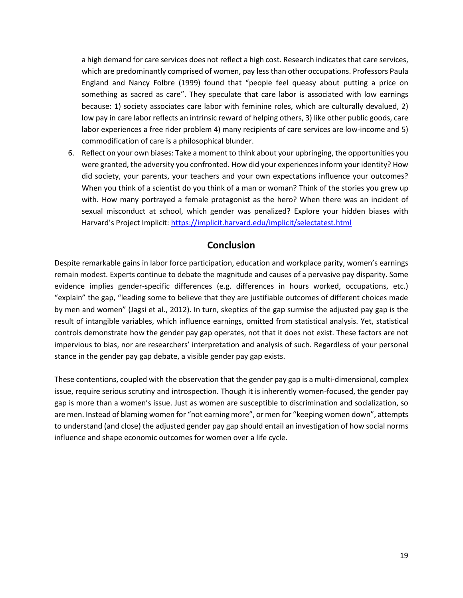a high demand for care services does not reflect a high cost. Research indicates that care services, which are predominantly comprised of women, pay less than other occupations. Professors Paula England and Nancy Folbre (1999) found that "people feel queasy about putting a price on something as sacred as care". They speculate that care labor is associated with low earnings because: 1) society associates care labor with feminine roles, which are culturally devalued, 2) low pay in care labor reflects an intrinsic reward of helping others, 3) like other public goods, care labor experiences a free rider problem 4) many recipients of care services are low-income and 5) commodification of care is a philosophical blunder.

6. Reflect on your own biases: Take a moment to think about your upbringing, the opportunities you were granted, the adversity you confronted. How did your experiences inform your identity? How did society, your parents, your teachers and your own expectations influence your outcomes? When you think of a scientist do you think of a man or woman? Think of the stories you grew up with. How many portrayed a female protagonist as the hero? When there was an incident of sexual misconduct at school, which gender was penalized? Explore your hidden biases with Harvard's Project Implicit: <https://implicit.harvard.edu/implicit/selectatest.html>

#### **Conclusion**

<span id="page-20-0"></span>Despite remarkable gains in labor force participation, education and workplace parity, women's earnings remain modest. Experts continue to debate the magnitude and causes of a pervasive pay disparity. Some evidence implies gender-specific differences (e.g. differences in hours worked, occupations, etc.) "explain" the gap, "leading some to believe that they are justifiable outcomes of different choices made by men and women" (Jagsi et al., 2012). In turn, skeptics of the gap surmise the adjusted pay gap is the result of intangible variables, which influence earnings, omitted from statistical analysis. Yet, statistical controls demonstrate how the gender pay gap operates, not that it does not exist. These factors are not impervious to bias, nor are researchers' interpretation and analysis of such. Regardless of your personal stance in the gender pay gap debate, a visible gender pay gap exists.

These contentions, coupled with the observation that the gender pay gap is a multi-dimensional, complex issue, require serious scrutiny and introspection. Though it is inherently women-focused, the gender pay gap is more than a women's issue. Just as women are susceptible to discrimination and socialization, so are men. Instead of blaming women for "not earning more", or men for "keeping women down", attempts to understand (and close) the adjusted gender pay gap should entail an investigation of how social norms influence and shape economic outcomes for women over a life cycle.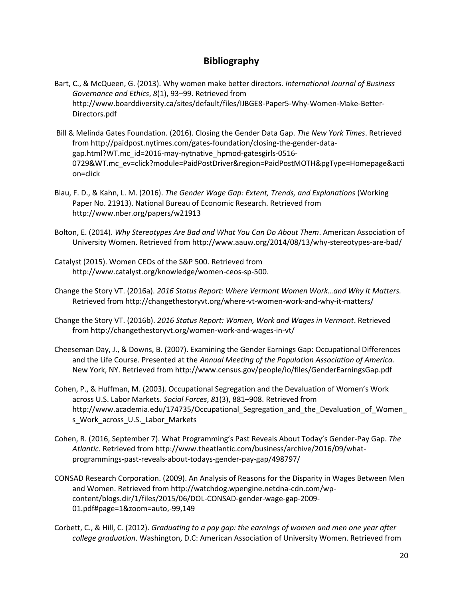#### **Bibliography**

- <span id="page-21-0"></span>Bart, C., & McQueen, G. (2013). Why women make better directors. *International Journal of Business Governance and Ethics*, *8*(1), 93–99. Retrieved from http://www.boarddiversity.ca/sites/default/files/IJBGE8-Paper5-Why-Women-Make-Better-Directors.pdf
- Bill & Melinda Gates Foundation. (2016). Closing the Gender Data Gap. *The New York Times*. Retrieved from http://paidpost.nytimes.com/gates-foundation/closing-the-gender-datagap.html?WT.mc\_id=2016-may-nytnative\_hpmod-gatesgirls-0516- 0729&WT.mc\_ev=click?module=PaidPostDriver&region=PaidPostMOTH&pgType=Homepage&acti on=click
- Blau, F. D., & Kahn, L. M. (2016). *The Gender Wage Gap: Extent, Trends, and Explanations* (Working Paper No. 21913). National Bureau of Economic Research. Retrieved from http://www.nber.org/papers/w21913
- Bolton, E. (2014). *Why Stereotypes Are Bad and What You Can Do About Them*. American Association of University Women. Retrieved from http://www.aauw.org/2014/08/13/why-stereotypes-are-bad/
- Catalyst (2015). Women CEOs of the S&P 500. Retrieved from http://www.catalyst.org/knowledge/women-ceos-sp-500.
- Change the Story VT. (2016a). *2016 Status Report: Where Vermont Women Work…and Why It Matters.* Retrieved from http://changethestoryvt.org/where-vt-women-work-and-why-it-matters/
- Change the Story VT. (2016b). *2016 Status Report: Women, Work and Wages in Vermont*. Retrieved from http://changethestoryvt.org/women-work-and-wages-in-vt/
- Cheeseman Day, J., & Downs, B. (2007). Examining the Gender Earnings Gap: Occupational Differences and the Life Course. Presented at the *Annual Meeting of the Population Association of America.*  New York, NY. Retrieved from http://www.census.gov/people/io/files/GenderEarningsGap.pdf
- Cohen, P., & Huffman, M. (2003). Occupational Segregation and the Devaluation of Women's Work across U.S. Labor Markets. *Social Forces*, *81*(3), 881–908. Retrieved from http://www.academia.edu/174735/Occupational\_Segregation\_and\_the\_Devaluation\_of\_Women\_ s\_Work\_across\_U.S.\_Labor\_Markets
- Cohen, R. (2016, September 7). What Programming's Past Reveals About Today's Gender-Pay Gap. *The Atlantic*. Retrieved from http://www.theatlantic.com/business/archive/2016/09/whatprogrammings-past-reveals-about-todays-gender-pay-gap/498797/
- CONSAD Research Corporation. (2009). An Analysis of Reasons for the Disparity in Wages Between Men and Women. Retrieved from http://watchdog.wpengine.netdna-cdn.com/wpcontent/blogs.dir/1/files/2015/06/DOL-CONSAD-gender-wage-gap-2009- 01.pdf#page=1&zoom=auto,-99,149
- Corbett, C., & Hill, C. (2012). *Graduating to a pay gap: the earnings of women and men one year after college graduation*. Washington, D.C: American Association of University Women. Retrieved from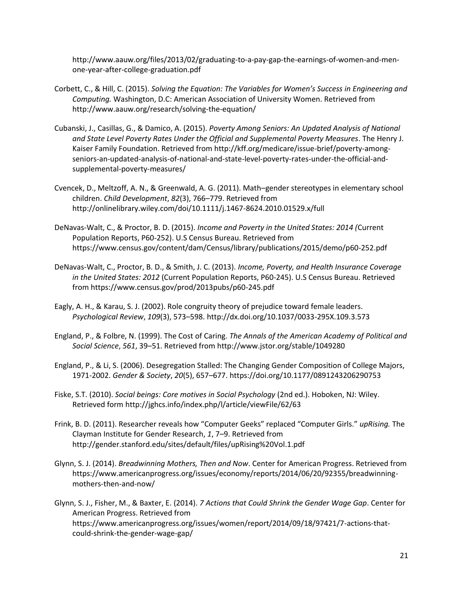http://www.aauw.org/files/2013/02/graduating-to-a-pay-gap-the-earnings-of-women-and-menone-year-after-college-graduation.pdf

- Corbett, C., & Hill, C. (2015). *Solving the Equation: The Variables for Women's Success in Engineering and Computing.* Washington, D.C: American Association of University Women. Retrieved from http://www.aauw.org/research/solving-the-equation/
- Cubanski, J., Casillas, G., & Damico, A. (2015). *Poverty Among Seniors: An Updated Analysis of National and State Level Poverty Rates Under the Official and Supplemental Poverty Measures*. The Henry J. Kaiser Family Foundation. Retrieved from http://kff.org/medicare/issue-brief/poverty-amongseniors-an-updated-analysis-of-national-and-state-level-poverty-rates-under-the-official-andsupplemental-poverty-measures/
- Cvencek, D., Meltzoff, A. N., & Greenwald, A. G. (2011). Math–gender stereotypes in elementary school children. *Child Development*, *82*(3), 766–779. Retrieved from http://onlinelibrary.wiley.com/doi/10.1111/j.1467-8624.2010.01529.x/full
- DeNavas-Walt, C., & Proctor, B. D. (2015). *Income and Poverty in the United States: 2014 (*Current Population Reports, P60-252). U.S Census Bureau. Retrieved from https://www.census.gov/content/dam/Census/library/publications/2015/demo/p60-252.pdf
- DeNavas-Walt, C., Proctor, B. D., & Smith, J. C. (2013). *Income, Poverty, and Health Insurance Coverage in the United States: 2012* (Current Population Reports, P60-245). U.S Census Bureau. Retrieved from https://www.census.gov/prod/2013pubs/p60-245.pdf
- Eagly, A. H., & Karau, S. J. (2002). Role congruity theory of prejudice toward female leaders. *Psychological Review*, *109*(3), 573–598. http://dx.doi.org/10.1037/0033-295X.109.3.573
- England, P., & Folbre, N. (1999). The Cost of Caring. *The Annals of the American Academy of Political and Social Science*, *561*, 39–51. Retrieved from http://www.jstor.org/stable/1049280
- England, P., & Li, S. (2006). Desegregation Stalled: The Changing Gender Composition of College Majors, 1971-2002. *Gender & Society*, *20*(5), 657–677. https://doi.org/10.1177/0891243206290753
- Fiske, S.T. (2010). *Social beings: Core motives in Social Psychology* (2nd ed.). Hoboken, NJ: Wiley. Retrieved for[m http://jghcs.info/index.php/l/article/viewFile/62/63](http://jghcs.info/index.php/l/article/viewFile/62/63)
- Frink, B. D. (2011). Researcher reveals how "Computer Geeks" replaced "Computer Girls." *upRising.* The Clayman Institute for Gender Research, *1*, 7–9. Retrieved from http://gender.stanford.edu/sites/default/files/upRising%20Vol.1.pdf
- Glynn, S. J. (2014). *Breadwinning Mothers, Then and Now*. Center for American Progress. Retrieved from https://www.americanprogress.org/issues/economy/reports/2014/06/20/92355/breadwinningmothers-then-and-now/
- Glynn, S. J., Fisher, M., & Baxter, E. (2014). *7 Actions that Could Shrink the Gender Wage Gap*. Center for American Progress. Retrieved from https://www.americanprogress.org/issues/women/report/2014/09/18/97421/7-actions-thatcould-shrink-the-gender-wage-gap/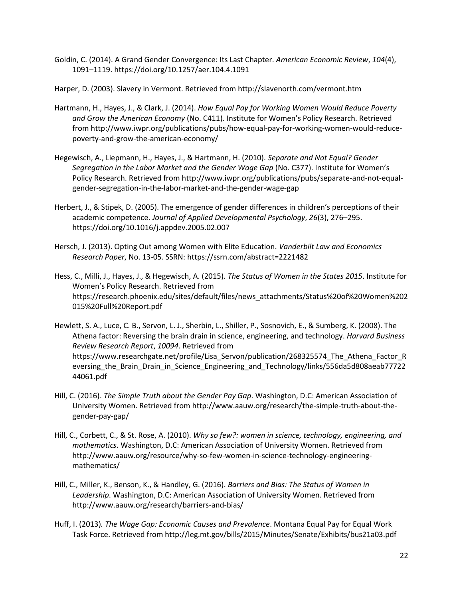Goldin, C. (2014). A Grand Gender Convergence: Its Last Chapter. *American Economic Review*, *104*(4), 1091–1119. https://doi.org/10.1257/aer.104.4.1091

Harper, D. (2003). Slavery in Vermont. Retrieved from http://slavenorth.com/vermont.htm

- Hartmann, H., Hayes, J., & Clark, J. (2014). *How Equal Pay for Working Women Would Reduce Poverty and Grow the American Economy* (No. C411). Institute for Women's Policy Research. Retrieved from http://www.iwpr.org/publications/pubs/how-equal-pay-for-working-women-would-reducepoverty-and-grow-the-american-economy/
- Hegewisch, A., Liepmann, H., Hayes, J., & Hartmann, H. (2010). *Separate and Not Equal? Gender Segregation in the Labor Market and the Gender Wage Gap* (No. C377). Institute for Women's Policy Research. Retrieved from http://www.iwpr.org/publications/pubs/separate-and-not-equalgender-segregation-in-the-labor-market-and-the-gender-wage-gap
- Herbert, J., & Stipek, D. (2005). The emergence of gender differences in children's perceptions of their academic competence. *Journal of Applied Developmental Psychology*, *26*(3), 276–295. https://doi.org/10.1016/j.appdev.2005.02.007
- Hersch, J. (2013). Opting Out among Women with Elite Education. *Vanderbilt Law and Economics Research Paper*, No. 13-05. SSRN[: https://ssrn.com/abstract=2221482](https://ssrn.com/abstract=2221482)
- Hess, C., Milli, J., Hayes, J., & Hegewisch, A. (2015). *The Status of Women in the States 2015*. Institute for Women's Policy Research. Retrieved from https://research.phoenix.edu/sites/default/files/news\_attachments/Status%20of%20Women%202 015%20Full%20Report.pdf
- Hewlett, S. A., Luce, C. B., Servon, L. J., Sherbin, L., Shiller, P., Sosnovich, E., & Sumberg, K. (2008). The Athena factor: Reversing the brain drain in science, engineering, and technology. *Harvard Business Review Research Report*, *10094*. Retrieved from https://www.researchgate.net/profile/Lisa\_Servon/publication/268325574\_The\_Athena\_Factor\_R eversing\_the\_Brain\_Drain\_in\_Science\_Engineering\_and\_Technology/links/556da5d808aeab77722 44061.pdf
- Hill, C. (2016). *The Simple Truth about the Gender Pay Gap*. Washington, D.C: American Association of University Women. Retrieved from http://www.aauw.org/research/the-simple-truth-about-thegender-pay-gap/
- Hill, C., Corbett, C., & St. Rose, A. (2010). *Why so few?: women in science, technology, engineering, and mathematics*. Washington, D.C: American Association of University Women. Retrieved from http://www.aauw.org/resource/why-so-few-women-in-science-technology-engineeringmathematics/
- Hill, C., Miller, K., Benson, K., & Handley, G. (2016). *Barriers and Bias: The Status of Women in Leadership*. Washington, D.C: American Association of University Women. Retrieved from http://www.aauw.org/research/barriers-and-bias/
- Huff, I. (2013)*. The Wage Gap: Economic Causes and Prevalence*. Montana Equal Pay for Equal Work Task Force. Retrieved from http://leg.mt.gov/bills/2015/Minutes/Senate/Exhibits/bus21a03.pdf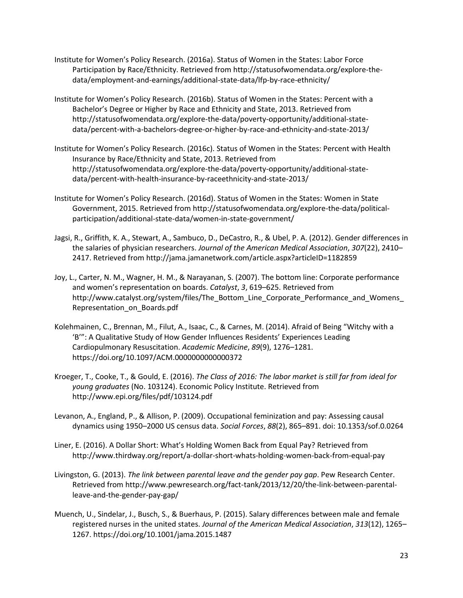- Institute for Women's Policy Research. (2016a). Status of Women in the States: Labor Force Participation by Race/Ethnicity. Retrieved from http://statusofwomendata.org/explore-thedata/employment-and-earnings/additional-state-data/lfp-by-race-ethnicity/
- Institute for Women's Policy Research. (2016b). Status of Women in the States: Percent with a Bachelor's Degree or Higher by Race and Ethnicity and State, 2013. Retrieved from http://statusofwomendata.org/explore-the-data/poverty-opportunity/additional-statedata/percent-with-a-bachelors-degree-or-higher-by-race-and-ethnicity-and-state-2013/
- Institute for Women's Policy Research. (2016c). Status of Women in the States: Percent with Health Insurance by Race/Ethnicity and State, 2013. Retrieved from http://statusofwomendata.org/explore-the-data/poverty-opportunity/additional-statedata/percent-with-health-insurance-by-raceethnicity-and-state-2013/
- Institute for Women's Policy Research. (2016d). Status of Women in the States: Women in State Government, 2015. Retrieved from http://statusofwomendata.org/explore-the-data/politicalparticipation/additional-state-data/women-in-state-government/
- Jagsi, R., Griffith, K. A., Stewart, A., Sambuco, D., DeCastro, R., & Ubel, P. A. (2012). Gender differences in the salaries of physician researchers. *Journal of the American Medical Association*, *307*(22), 2410– 2417. Retrieved from http://jama.jamanetwork.com/article.aspx?articleID=1182859
- Joy, L., Carter, N. M., Wagner, H. M., & Narayanan, S. (2007). The bottom line: Corporate performance and women's representation on boards. *Catalyst*, *3*, 619–625. Retrieved from http://www.catalyst.org/system/files/The\_Bottom\_Line\_Corporate\_Performance\_and\_Womens\_ Representation\_on\_Boards.pdf
- Kolehmainen, C., Brennan, M., Filut, A., Isaac, C., & Carnes, M. (2014). Afraid of Being "Witchy with a 'B'": A Qualitative Study of How Gender Influences Residents' Experiences Leading Cardiopulmonary Resuscitation. *Academic Medicine*, *89*(9), 1276–1281. https://doi.org/10.1097/ACM.0000000000000372
- Kroeger, T., Cooke, T., & Gould, E. (2016). *The Class of 2016: The labor market is still far from ideal for young graduates* (No. 103124). Economic Policy Institute. Retrieved from http://www.epi.org/files/pdf/103124.pdf
- Levanon, A., England, P., & Allison, P. (2009). Occupational feminization and pay: Assessing causal dynamics using 1950–2000 US census data. *Social Forces*, *88*(2), 865–891. doi: 10.1353/sof.0.0264
- Liner, E. (2016). A Dollar Short: What's Holding Women Back from Equal Pay? Retrieved from http://www.thirdway.org/report/a-dollar-short-whats-holding-women-back-from-equal-pay
- Livingston, G. (2013). *The link between parental leave and the gender pay gap*. Pew Research Center. Retrieved from http://www.pewresearch.org/fact-tank/2013/12/20/the-link-between-parentalleave-and-the-gender-pay-gap/
- Muench, U., Sindelar, J., Busch, S., & Buerhaus, P. (2015). Salary differences between male and female registered nurses in the united states. *Journal of the American Medical Association*, *313*(12), 1265– 1267. https://doi.org/10.1001/jama.2015.1487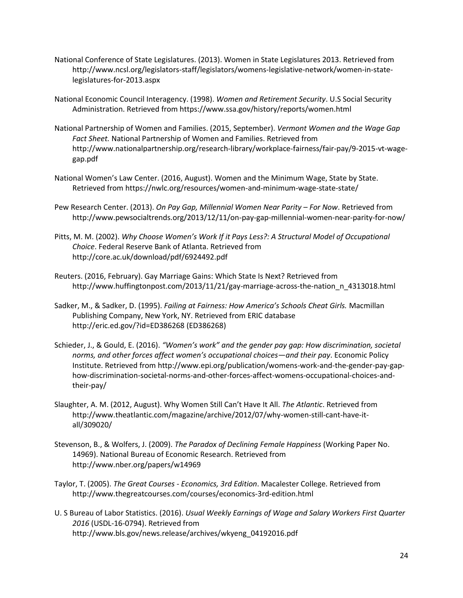- National Conference of State Legislatures. (2013). Women in State Legislatures 2013. Retrieved from http://www.ncsl.org/legislators-staff/legislators/womens-legislative-network/women-in-statelegislatures-for-2013.aspx
- National Economic Council Interagency. (1998). *Women and Retirement Security*. U.S Social Security Administration. Retrieved from https://www.ssa.gov/history/reports/women.html
- National Partnership of Women and Families. (2015, September). *Vermont Women and the Wage Gap Fact Sheet.* National Partnership of Women and Families. Retrieved from http://www.nationalpartnership.org/research-library/workplace-fairness/fair-pay/9-2015-vt-wagegap.pdf
- National Women's Law Center. (2016, August). Women and the Minimum Wage, State by State. Retrieved from https://nwlc.org/resources/women-and-minimum-wage-state-state/
- Pew Research Center. (2013). *On Pay Gap, Millennial Women Near Parity – For Now*. Retrieved from http://www.pewsocialtrends.org/2013/12/11/on-pay-gap-millennial-women-near-parity-for-now/
- Pitts, M. M. (2002). *Why Choose Women's Work If it Pays Less?: A Structural Model of Occupational Choice*. Federal Reserve Bank of Atlanta. Retrieved from http://core.ac.uk/download/pdf/6924492.pdf
- Reuters. (2016, February). Gay Marriage Gains: Which State Is Next? Retrieved from http://www.huffingtonpost.com/2013/11/21/gay-marriage-across-the-nation\_n\_4313018.html
- Sadker, M., & Sadker, D. (1995). *Failing at Fairness: How America's Schools Cheat Girls.* Macmillan Publishing Company, New York, NY. Retrieved from ERIC database http://eric.ed.gov/?id=ED386268 (ED386268)
- Schieder, J., & Gould, E. (2016). *"Women's work" and the gender pay gap: How discrimination, societal norms, and other forces affect women's occupational choices—and their pay*. Economic Policy Institute. Retrieved from http://www.epi.org/publication/womens-work-and-the-gender-pay-gaphow-discrimination-societal-norms-and-other-forces-affect-womens-occupational-choices-andtheir-pay/
- Slaughter, A. M. (2012, August). Why Women Still Can't Have It All. *The Atlantic*. Retrieved from http://www.theatlantic.com/magazine/archive/2012/07/why-women-still-cant-have-itall/309020/
- Stevenson, B., & Wolfers, J. (2009). *The Paradox of Declining Female Happiness* (Working Paper No. 14969). National Bureau of Economic Research. Retrieved from http://www.nber.org/papers/w14969
- Taylor, T. (2005). *The Great Courses - Economics, 3rd Edition*. Macalester College. Retrieved from http://www.thegreatcourses.com/courses/economics-3rd-edition.html
- U. S Bureau of Labor Statistics. (2016). *Usual Weekly Earnings of Wage and Salary Workers First Quarter 2016* (USDL-16-0794). Retrieved from http://www.bls.gov/news.release/archives/wkyeng\_04192016.pdf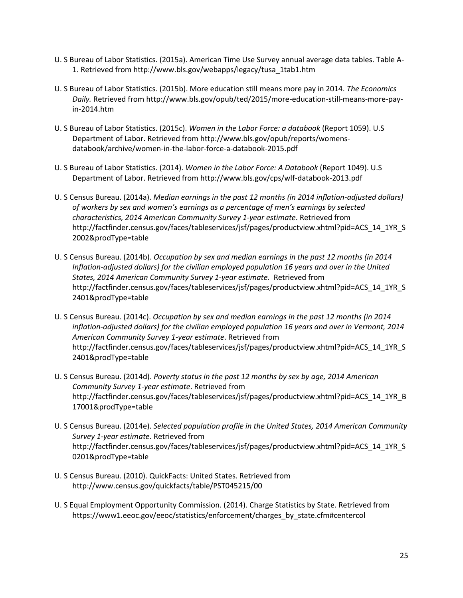- U. S Bureau of Labor Statistics. (2015a). American Time Use Survey annual average data tables. Table A-1. Retrieved from http://www.bls.gov/webapps/legacy/tusa\_1tab1.htm
- U. S Bureau of Labor Statistics. (2015b). More education still means more pay in 2014. *The Economics Daily.* Retrieved from http://www.bls.gov/opub/ted/2015/more-education-still-means-more-payin-2014.htm
- U. S Bureau of Labor Statistics. (2015c). *Women in the Labor Force: a databook* (Report 1059). U.S Department of Labor. Retrieved from http://www.bls.gov/opub/reports/womensdatabook/archive/women-in-the-labor-force-a-databook-2015.pdf
- U. S Bureau of Labor Statistics. (2014). *Women in the Labor Force: A Databook* (Report 1049). U.S Department of Labor. Retrieved from http://www.bls.gov/cps/wlf-databook-2013.pdf
- U. S Census Bureau. (2014a). *Median earnings in the past 12 months (in 2014 inflation-adjusted dollars) of workers by sex and women's earnings as a percentage of men's earnings by selected characteristics, 2014 American Community Survey 1-year estimate*. Retrieved from [http://factfinder.census.gov/faces/tableservices/jsf/pages/productview.xhtml?pid=ACS\\_14\\_1YR\\_S](http://factfinder.census.gov/faces/tableservices/jsf/pages/productview.xhtml?pid=ACS_14_1YR_S2002&prodType=table) [2002&prodType=table](http://factfinder.census.gov/faces/tableservices/jsf/pages/productview.xhtml?pid=ACS_14_1YR_S2002&prodType=table)
- U. S Census Bureau. (2014b). *Occupation by sex and median earnings in the past 12 months (in 2014 Inflation-adjusted dollars) for the civilian employed population 16 years and over in the United States, 2014 American Community Survey 1-year estimate.* Retrieved from http://factfinder.census.gov/faces/tableservices/jsf/pages/productview.xhtml?pid=ACS\_14\_1YR\_S 2401&prodType=table
- U. S Census Bureau. (2014c). *Occupation by sex and median earnings in the past 12 months (in 2014 inflation-adjusted dollars) for the civilian employed population 16 years and over in Vermont, 2014 American Community Survey 1-year estimate*. Retrieved from [http://factfinder.census.gov/faces/tableservices/jsf/pages/productview.xhtml?pid=ACS\\_14\\_1YR\\_S](http://factfinder.census.gov/faces/tableservices/jsf/pages/productview.xhtml?pid=ACS_14_1YR_S2401&prodType=table) [2401&prodType=table](http://factfinder.census.gov/faces/tableservices/jsf/pages/productview.xhtml?pid=ACS_14_1YR_S2401&prodType=table)
- U. S Census Bureau. (2014d). *Poverty status in the past 12 months by sex by age, 2014 American Community Survey 1-year estimate*. Retrieved from http://factfinder.census.gov/faces/tableservices/jsf/pages/productview.xhtml?pid=ACS\_14\_1YR\_B 17001&prodType=table
- U. S Census Bureau. (2014e). *Selected population profile in the United States, 2014 American Community Survey 1-year estimate*. Retrieved from http://factfinder.census.gov/faces/tableservices/jsf/pages/productview.xhtml?pid=ACS\_14\_1YR\_S 0201&prodType=table
- U. S Census Bureau. (2010). QuickFacts: United States. Retrieved from http://www.census.gov/quickfacts/table/PST045215/00
- U. S Equal Employment Opportunity Commission. (2014). Charge Statistics by State. Retrieved from https://www1.eeoc.gov/eeoc/statistics/enforcement/charges\_by\_state.cfm#centercol